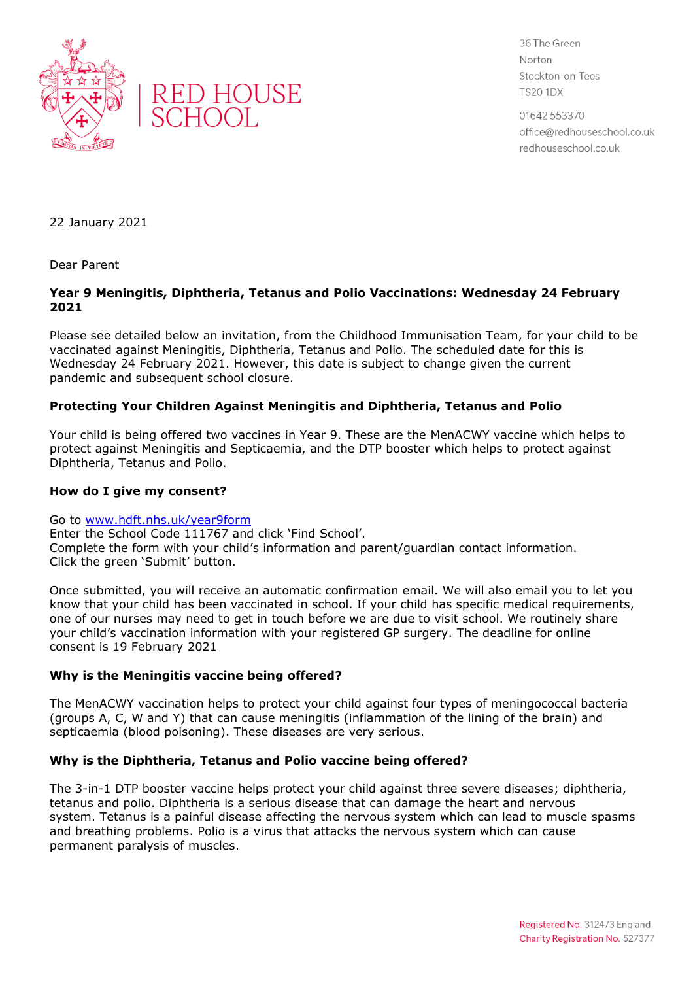



36 The Green Norton Stockton-on-Tees **TS20 1DX** 

01642 553370 office@redhouseschool.co.uk redhouseschool.co.uk

22 January 2021

Dear Parent

## **Year 9 Meningitis, Diphtheria, Tetanus and Polio Vaccinations: Wednesday 24 February 2021**

Please see detailed below an invitation, from the Childhood Immunisation Team, for your child to be vaccinated against Meningitis, Diphtheria, Tetanus and Polio. The scheduled date for this is Wednesday 24 February 2021. However, this date is subject to change given the current pandemic and subsequent school closure.

# **Protecting Your Children Against Meningitis and Diphtheria, Tetanus and Polio**

Your child is being offered two vaccines in Year 9. These are the MenACWY vaccine which helps to protect against Meningitis and Septicaemia, and the DTP booster which helps to protect against Diphtheria, Tetanus and Polio.

### **How do I give my consent?**

#### Go to [www.hdft.nhs.uk/year9form](http://www.hdft.nhs.uk/year9form)

Enter the School Code 111767 and click 'Find School'. Complete the form with your child's information and parent/guardian contact information. Click the green 'Submit' button.

Once submitted, you will receive an automatic confirmation email. We will also email you to let you know that your child has been vaccinated in school. If your child has specific medical requirements, one of our nurses may need to get in touch before we are due to visit school. We routinely share your child's vaccination information with your registered GP surgery. The deadline for online consent is 19 February 2021

## **Why is the Meningitis vaccine being offered?**

The MenACWY vaccination helps to protect your child against four types of meningococcal bacteria (groups A, C, W and Y) that can cause meningitis (inflammation of the lining of the brain) and septicaemia (blood poisoning). These diseases are very serious.

## **Why is the Diphtheria, Tetanus and Polio vaccine being offered?**

The 3-in-1 DTP booster vaccine helps protect your child against three severe diseases; diphtheria, tetanus and polio. Diphtheria is a serious disease that can damage the heart and nervous system. Tetanus is a painful disease affecting the nervous system which can lead to muscle spasms and breathing problems. Polio is a virus that attacks the nervous system which can cause permanent paralysis of muscles.